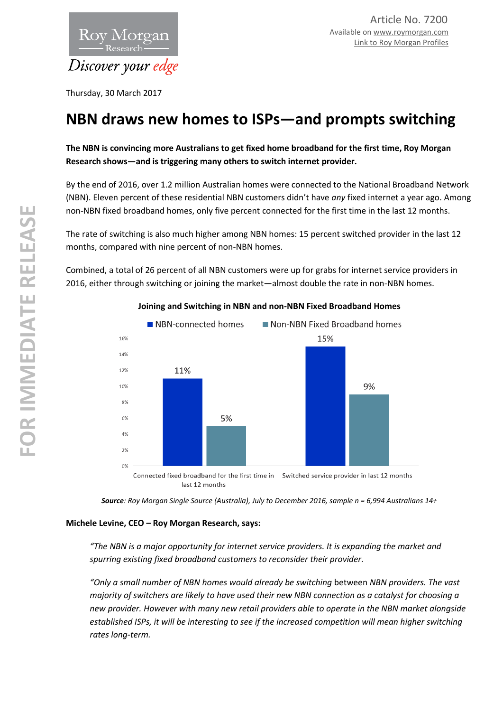

Thursday, 30 March 2017

# **NBN draws new homes to ISPs—and prompts switching**

**The NBN is convincing more Australians to get fixed home broadband for the first time, Roy Morgan Research shows—and is triggering many others to switch internet provider.** 

By the end of 2016, over 1.2 million Australian homes were connected to the National Broadband Network (NBN). Eleven percent of these residential NBN customers didn't have *any* fixed internet a year ago. Among non-NBN fixed broadband homes, only five percent connected for the first time in the last 12 months.

The rate of switching is also much higher among NBN homes: 15 percent switched provider in the last 12 months, compared with nine percent of non-NBN homes.

Combined, a total of 26 percent of all NBN customers were up for grabs for internet service providers in 2016, either through switching or joining the market—almost double the rate in non-NBN homes.



## **Joining and Switching in NBN and non-NBN Fixed Broadband Homes**

*Source: Roy Morgan Single Source (Australia), July to December 2016, sample n = 6,994 Australians 14+* 

### **Michele Levine, CEO – Roy Morgan Research, says:**

*"The NBN is a major opportunity for internet service providers. It is expanding the market and spurring existing fixed broadband customers to reconsider their provider.* 

*"Only a small number of NBN homes would already be switching* between *NBN providers. The vast majority of switchers are likely to have used their new NBN connection as a catalyst for choosing a new provider. However with many new retail providers able to operate in the NBN market alongside established ISPs, it will be interesting to see if the increased competition will mean higher switching rates long-term.*